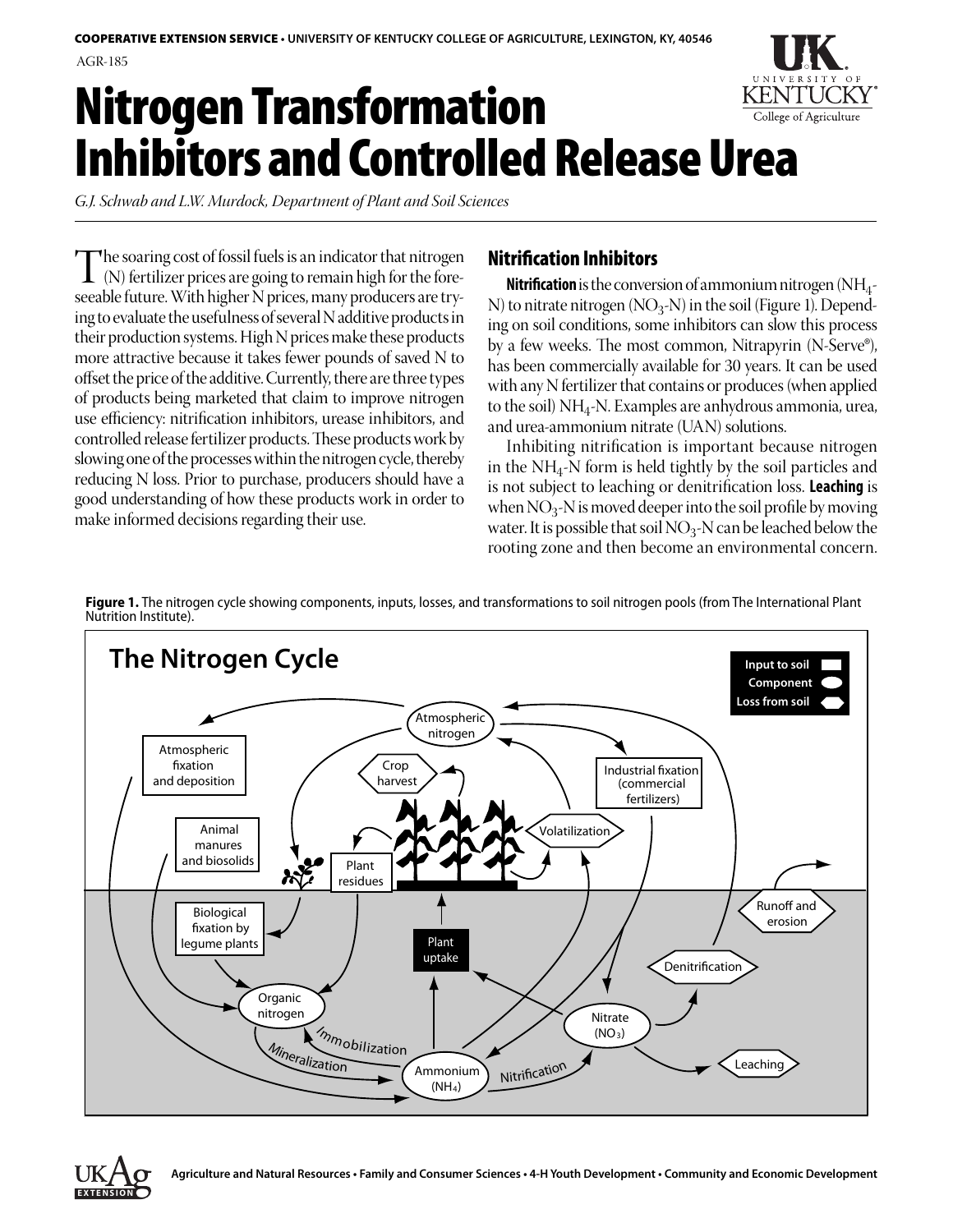# Nitrogen Transformation College of Agriculture Inhibitors and Controlled Release Urea

*G.J. Schwab and L.W. Murdock, Department of Plant and Soil Sciences*

The soaring cost of fossil fuels is an indicator that nitrogen<br>
(N) fertilizer prices are going to remain high for the fore-<br>
seephle future With bigher N prices, many producers are try seeable future. With higher N prices, many producers are trying to evaluate the usefulness of several N additive products in their production systems. High N prices make these products more attractive because it takes fewer pounds of saved N to offset the price of the additive. Currently, there are three types of products being marketed that claim to improve nitrogen use efficiency: nitrification inhibitors, urease inhibitors, and controlled release fertilizer products. These products work by slowing one of the processes within the nitrogen cycle, thereby reducing N loss. Prior to purchase, producers should have a good understanding of how these products work in order to make informed decisions regarding their use.

# Nitrification Inhibitors

**Nitrification** is the conversion of ammonium nitrogen  $(NH_4$ -N) to nitrate nitrogen ( $NO<sub>3</sub>$ -N) in the soil (Figure 1). Depending on soil conditions, some inhibitors can slow this process by a few weeks. The most common, Nitrapyrin (N-Serve®), has been commercially available for 30 years. It can be used with any N fertilizer that contains or produces (when applied to the soil)  $NH<sub>4</sub>$ -N. Examples are anhydrous ammonia, urea, and urea-ammonium nitrate (UAN) solutions.

Inhibiting nitrification is important because nitrogen in the  $NH<sub>4</sub>$ -N form is held tightly by the soil particles and is not subject to leaching or denitrification loss. **Leaching** is when  $NO_3-N$  is moved deeper into the soil profile by moving water. It is possible that soil  $NO_3$ -N can be leached below the rooting zone and then become an environmental concern.

**Figure 1.** The nitrogen cycle showing components, inputs, losses, and transformations to soil nitrogen pools (from The International Plant Nutrition Institute).



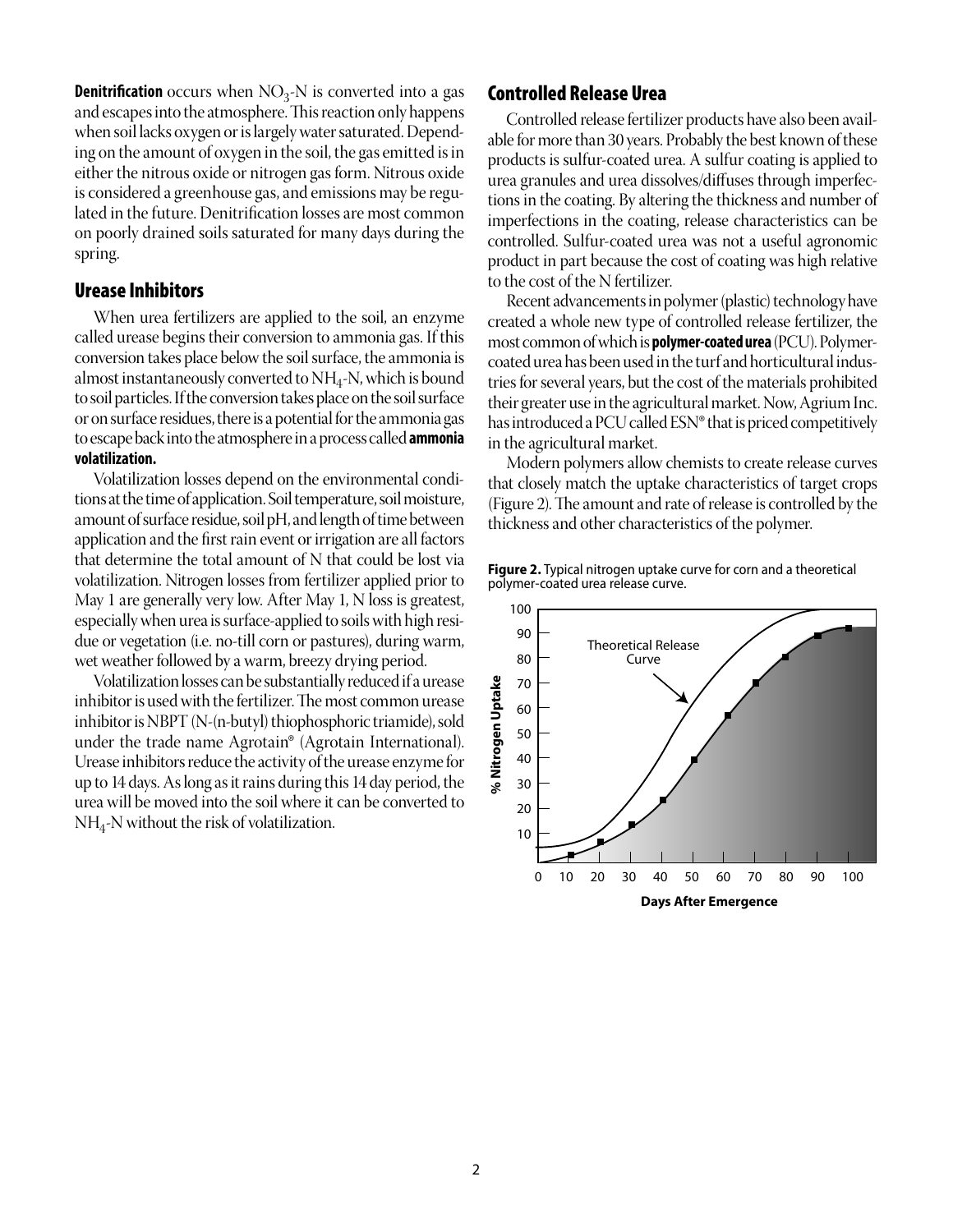**Denitrification** occurs when  $NO<sub>3</sub>$ -N is converted into a gas and escapes into the atmosphere. This reaction only happens when soil lacks oxygen or is largely water saturated. Depending on the amount of oxygen in the soil, the gas emitted is in either the nitrous oxide or nitrogen gas form. Nitrous oxide is considered a greenhouse gas, and emissions may be regulated in the future. Denitrification losses are most common on poorly drained soils saturated for many days during the spring.

## Urease Inhibitors

When urea fertilizers are applied to the soil, an enzyme called urease begins their conversion to ammonia gas. If this conversion takes place below the soil surface, the ammonia is almost instantaneously converted to  $NH<sub>4</sub>$ -N, which is bound to soil particles. If the conversion takes place on the soil surface or on surface residues, there is a potential for the ammonia gas to escape back into the atmosphere in a process called **ammonia volatilization.** 

Volatilization losses depend on the environmental conditions at the time of application. Soil temperature, soil moisture, amount of surface residue, soil pH, and length of time between application and the first rain event or irrigation are all factors that determine the total amount of N that could be lost via volatilization. Nitrogen losses from fertilizer applied prior to May 1 are generally very low. After May 1, N loss is greatest, especially when urea is surface-applied to soils with high residue or vegetation (i.e. no-till corn or pastures), during warm, wet weather followed by a warm, breezy drying period.

Volatilization losses can be substantially reduced if a urease inhibitor is used with the fertilizer. The most common urease inhibitor is NBPT (N-(n-butyl) thiophosphoric triamide), sold under the trade name Agrotain® (Agrotain International). Urease inhibitors reduce the activity of the urease enzyme for up to 14 days. As long as it rains during this 14 day period, the urea will be moved into the soil where it can be converted to  $NH_{4}$ -N without the risk of volatilization.

#### Controlled Release Urea

Controlled release fertilizer products have also been available for more than 30 years. Probably the best known of these products is sulfur-coated urea. A sulfur coating is applied to urea granules and urea dissolves/diffuses through imperfections in the coating. By altering the thickness and number of imperfections in the coating, release characteristics can be controlled. Sulfur-coated urea was not a useful agronomic product in part because the cost of coating was high relative to the cost of the N fertilizer.

Recent advancements in polymer (plastic) technology have created a whole new type of controlled release fertilizer, the most common of which is **polymer-coated urea** (PCU). Polymercoated urea has been used in the turf and horticultural industries for several years, but the cost of the materials prohibited their greater use in the agricultural market. Now, Agrium Inc. has introduced a PCU called ESN® that is priced competitively in the agricultural market.

Modern polymers allow chemists to create release curves that closely match the uptake characteristics of target crops (Figure 2). The amount and rate of release is controlled by the thickness and other characteristics of the polymer.



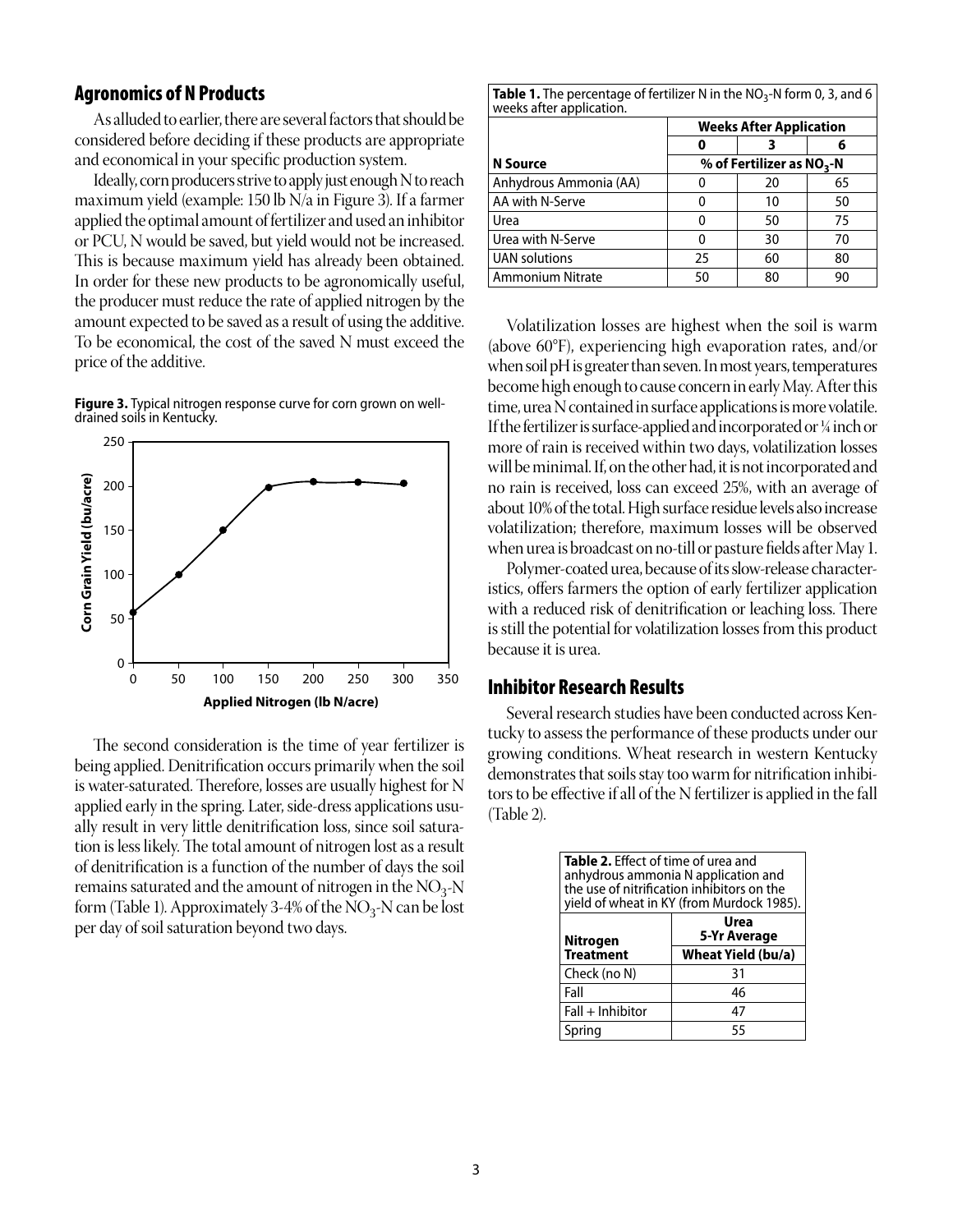#### Agronomics of N Products

As alluded to earlier, there are several factors that should be considered before deciding if these products are appropriate and economical in your specific production system.

Ideally, corn producers strive to apply just enough N to reach maximum yield (example: 150 lb N/a in Figure 3). If a farmer applied the optimal amount of fertilizer and used an inhibitor or PCU, N would be saved, but yield would not be increased. This is because maximum yield has already been obtained. In order for these new products to be agronomically useful, the producer must reduce the rate of applied nitrogen by the amount expected to be saved as a result of using the additive. To be economical, the cost of the saved N must exceed the price of the additive.





The second consideration is the time of year fertilizer is being applied. Denitrification occurs primarily when the soil is water-saturated. Therefore, losses are usually highest for N applied early in the spring. Later, side-dress applications usually result in very little denitrification loss, since soil saturation is less likely. The total amount of nitrogen lost as a result of denitrification is a function of the number of days the soil remains saturated and the amount of nitrogen in the  $NO<sub>3</sub>$ -N form (Table 1). Approximately 3-4% of the  $NO_3-N$  can be lost per day of soil saturation beyond two days.

| <b>Table 1.</b> The percentage of fertilizer N in the $NO3$ -N form 0, 3, and 6<br>weeks after application. |                                |    |    |  |  |
|-------------------------------------------------------------------------------------------------------------|--------------------------------|----|----|--|--|
|                                                                                                             | <b>Weeks After Application</b> |    |    |  |  |
|                                                                                                             |                                |    | 6  |  |  |
| N Source                                                                                                    | % of Fertilizer as $NO3$ -N    |    |    |  |  |
| Anhydrous Ammonia (AA)                                                                                      |                                | 20 | 65 |  |  |
| AA with N-Serve                                                                                             |                                | 10 | 50 |  |  |
| Urea                                                                                                        | o                              | 50 | 75 |  |  |
| Urea with N-Serve                                                                                           | O                              | 30 | 70 |  |  |
| <b>UAN solutions</b>                                                                                        | 25                             | 60 | 80 |  |  |
| <b>Ammonium Nitrate</b>                                                                                     | 50                             | 80 | 90 |  |  |

Volatilization losses are highest when the soil is warm (above 60°F), experiencing high evaporation rates, and/or when soil pH is greater than seven. In most years, temperatures become high enough to cause concern in early May. After this time, urea N contained in surface applications is more volatile. If the fertilizer is surface-applied and incorporated or ¼ inch or more of rain is received within two days, volatilization losses will be minimal. If, on the other had, it is not incorporated and no rain is received, loss can exceed 25%, with an average of about 10% of the total. High surface residue levels also increase volatilization; therefore, maximum losses will be observed when urea is broadcast on no-till or pasture fields after May 1.

Polymer-coated urea, because of its slow-release characteristics, offers farmers the option of early fertilizer application with a reduced risk of denitrification or leaching loss. There is still the potential for volatilization losses from this product because it is urea.

#### Inhibitor Research Results

Several research studies have been conducted across Kentucky to assess the performance of these products under our growing conditions. Wheat research in western Kentucky demonstrates that soils stay too warm for nitrification inhibitors to be effective if all of the N fertilizer is applied in the fall (Table 2).

| <b>Table 2.</b> Effect of time of urea and<br>anhydrous ammonia N application and<br>the use of nitrification inhibitors on the<br>yield of wheat in KY (from Murdock 1985). |                      |  |  |  |
|------------------------------------------------------------------------------------------------------------------------------------------------------------------------------|----------------------|--|--|--|
| Nitrogen                                                                                                                                                                     | Urea<br>5-Yr Average |  |  |  |
| <b>Treatment</b>                                                                                                                                                             | Wheat Yield (bu/a)   |  |  |  |
| Check (no N)                                                                                                                                                                 | 31                   |  |  |  |
| Fall                                                                                                                                                                         | 46                   |  |  |  |
| $Fall + Inhibitor$                                                                                                                                                           | 47                   |  |  |  |
| Spring                                                                                                                                                                       | 55                   |  |  |  |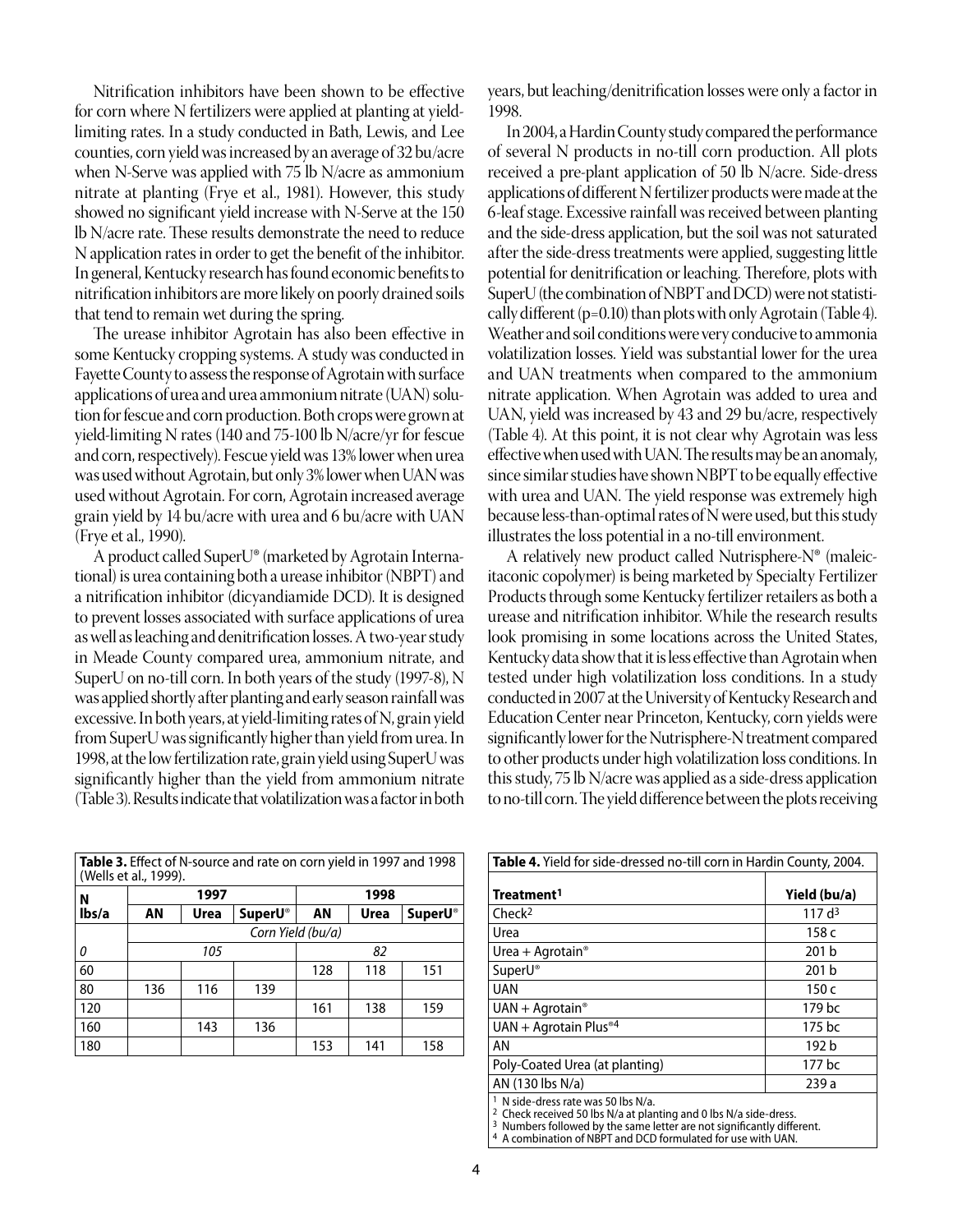Nitrification inhibitors have been shown to be effective for corn where N fertilizers were applied at planting at yieldlimiting rates. In a study conducted in Bath, Lewis, and Lee counties, corn yield was increased by an average of 32 bu/acre when N-Serve was applied with 75 lb N/acre as ammonium nitrate at planting (Frye et al., 1981). However, this study showed no significant yield increase with N-Serve at the 150 lb N/acre rate. These results demonstrate the need to reduce N application rates in order to get the benefit of the inhibitor. In general, Kentucky research has found economic benefits to nitrification inhibitors are more likely on poorly drained soils that tend to remain wet during the spring.

The urease inhibitor Agrotain has also been effective in some Kentucky cropping systems. A study was conducted in Fayette County to assess the response of Agrotain with surface applications of urea and urea ammonium nitrate (UAN) solution for fescue and corn production. Both crops were grown at yield-limiting N rates (140 and 75-100 lb N/acre/yr for fescue and corn, respectively). Fescue yield was 13% lower when urea was used without Agrotain, but only 3% lower when UAN was used without Agrotain. For corn, Agrotain increased average grain yield by 14 bu/acre with urea and 6 bu/acre with UAN (Frye et al., 1990).

A product called SuperU® (marketed by Agrotain International) is urea containing both a urease inhibitor (NBPT) and a nitrification inhibitor (dicyandiamide DCD). It is designed to prevent losses associated with surface applications of urea as well as leaching and denitrification losses. A two-year study in Meade County compared urea, ammonium nitrate, and SuperU on no-till corn. In both years of the study (1997-8), N was applied shortly after planting and early season rainfall was excessive. In both years, at yield-limiting rates of N, grain yield from SuperU was significantly higher than yield from urea. In 1998, at the low fertilization rate, grain yield using SuperU was significantly higher than the yield from ammonium nitrate (Table 3). Results indicate that volatilization was a factor in both

| <b>Table 3.</b> Effect of N-source and rate on corn yield in 1997 and 1998<br>(Wells et al., 1999). |                   |      |                |      |      |                 |
|-----------------------------------------------------------------------------------------------------|-------------------|------|----------------|------|------|-----------------|
| N                                                                                                   | 1997              |      |                | 1998 |      |                 |
| lbs/a                                                                                               | ΑN                | Urea | <b>SuperU®</b> | ΑN   | Urea | <b>SuperU</b> ® |
|                                                                                                     | Corn Yield (bu/a) |      |                |      |      |                 |
| 0                                                                                                   |                   | 105  |                |      | 82   |                 |
| 60                                                                                                  |                   |      |                | 128  | 118  | 151             |
| 80                                                                                                  | 136               | 116  | 139            |      |      |                 |
| 120                                                                                                 |                   |      |                | 161  | 138  | 159             |
| 160                                                                                                 |                   | 143  | 136            |      |      |                 |
| 180                                                                                                 |                   |      |                | 153  | 141  | 158             |

years, but leaching/denitrification losses were only a factor in 1998.

In 2004, a Hardin County study compared the performance of several N products in no-till corn production. All plots received a pre-plant application of 50 lb N/acre. Side-dress applications of different N fertilizer products were made at the 6-leaf stage. Excessive rainfall was received between planting and the side-dress application, but the soil was not saturated after the side-dress treatments were applied, suggesting little potential for denitrification or leaching. Therefore, plots with SuperU (the combination of NBPT and DCD) were not statistically different (p=0.10) than plots with only Agrotain (Table 4). Weather and soil conditions were very conducive to ammonia volatilization losses. Yield was substantial lower for the urea and UAN treatments when compared to the ammonium nitrate application. When Agrotain was added to urea and UAN, yield was increased by 43 and 29 bu/acre, respectively (Table 4). At this point, it is not clear why Agrotain was less effective when used with UAN. The results may be an anomaly, since similar studies have shown NBPT to be equally effective with urea and UAN. The yield response was extremely high because less-than-optimal rates of N were used, but this study illustrates the loss potential in a no-till environment.

A relatively new product called Nutrisphere-N® (maleicitaconic copolymer) is being marketed by Specialty Fertilizer Products through some Kentucky fertilizer retailers as both a urease and nitrification inhibitor. While the research results look promising in some locations across the United States, Kentucky data show that it is less effective than Agrotain when tested under high volatilization loss conditions. In a study conducted in 2007 at the University of Kentucky Research and Education Center near Princeton, Kentucky, corn yields were significantly lower for the Nutrisphere-N treatment compared to other products under high volatilization loss conditions. In this study, 75 lb N/acre was applied as a side-dress application to no-till corn. The yield difference between the plots receiving

| Table 4. Yield for side-dressed no-till corn in Hardin County, 2004. |                   |  |  |  |
|----------------------------------------------------------------------|-------------------|--|--|--|
| Treatment <sup>1</sup>                                               | Yield (bu/a)      |  |  |  |
| Check <sup>2</sup>                                                   | 117d <sup>3</sup> |  |  |  |
| Urea                                                                 | 158 c             |  |  |  |
| Urea + Agrotain <sup>®</sup>                                         | 201 <sub>b</sub>  |  |  |  |
| SuperU®                                                              | 201 b             |  |  |  |
| <b>UAN</b>                                                           | 150c              |  |  |  |
| $UAN + Aqrotain$ <sup>®</sup>                                        | 179 bc            |  |  |  |
| UAN + Agrotain Plus <sup>®4</sup>                                    | 175 bc            |  |  |  |
| AN                                                                   | 192 b             |  |  |  |
| Poly-Coated Urea (at planting)                                       | 177 bc            |  |  |  |
| AN (130 lbs N/a)                                                     | 239 a             |  |  |  |
| $1 \text{ N}$ cide-dress rate was 50 lbs $N/s$                       |                   |  |  |  |

<sup>2</sup> Check received 50 lbs N/a at planting and 0 lbs N/a side-dress.<br><sup>3</sup> Numbers followed by the same letter are not significantly different.<br><sup>4</sup> A combination of NBPT and DCD formulated for use with UAN.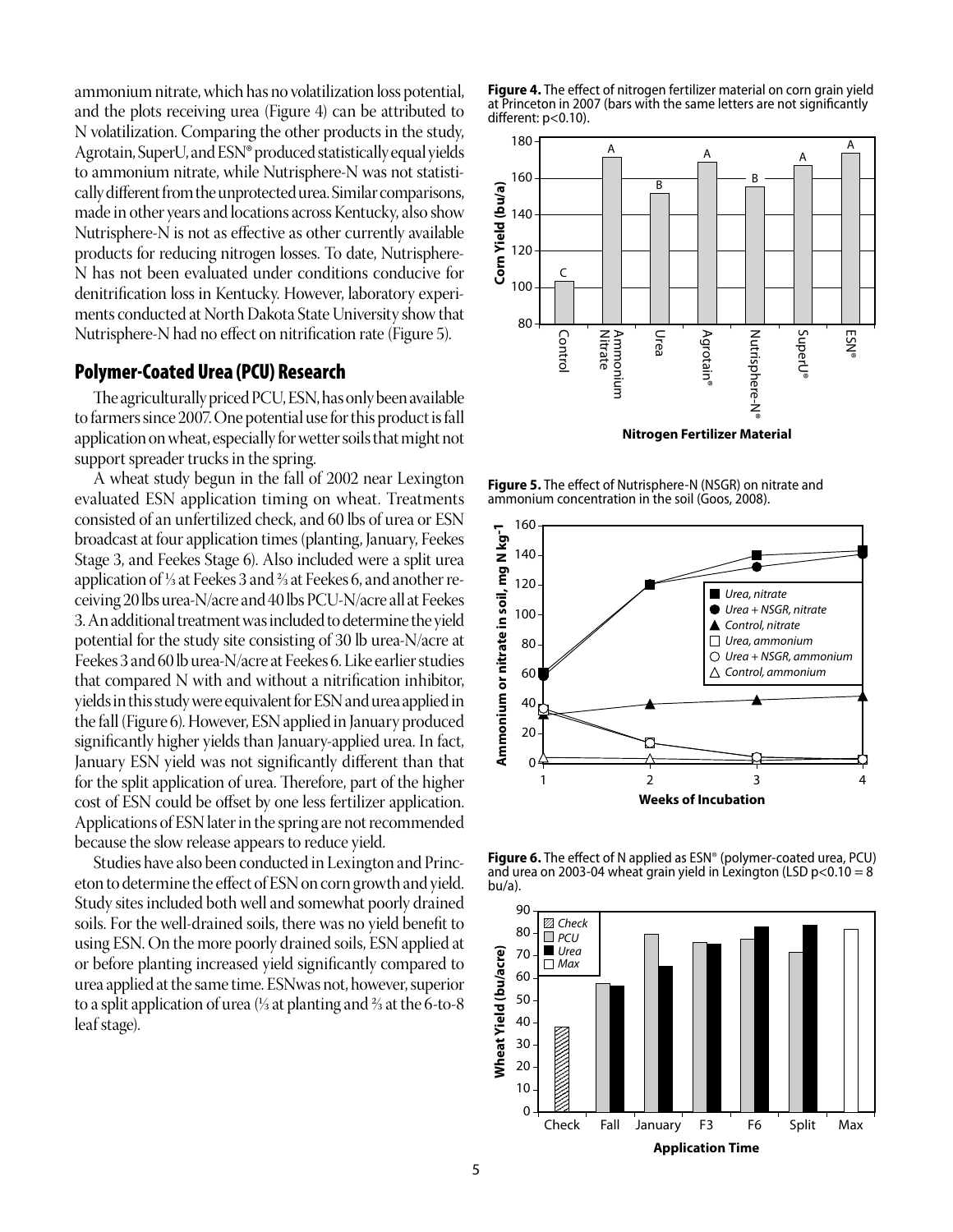ammonium nitrate, which has no volatilization loss potential, and the plots receiving urea (Figure 4) can be attributed to N volatilization. Comparing the other products in the study, Agrotain, SuperU, and ESN® produced statistically equal yields to ammonium nitrate, while Nutrisphere-N was not statistically different from the unprotected urea. Similar comparisons, made in other years and locations across Kentucky, also show Nutrisphere-N is not as effective as other currently available products for reducing nitrogen losses. To date, Nutrisphere-N has not been evaluated under conditions conducive for denitrification loss in Kentucky. However, laboratory experiments conducted at North Dakota State University show that Nutrisphere-N had no effect on nitrification rate (Figure 5).

## Polymer-Coated Urea (PCU) Research

The agriculturally priced PCU, ESN, has only been available to farmers since 2007. One potential use for this product is fall application on wheat, especially for wetter soils that might not support spreader trucks in the spring.

A wheat study begun in the fall of 2002 near Lexington evaluated ESN application timing on wheat. Treatments consisted of an unfertilized check, and 60 lbs of urea or ESN broadcast at four application times (planting, January, Feekes Stage 3, and Feekes Stage 6). Also included were a split urea application of 1⁄3 at Feekes 3 and 2⁄3 at Feekes 6, and another receiving 20 lbs urea-N/acre and 40 lbs PCU-N/acre all at Feekes 3. An additional treatment was included to determine the yield potential for the study site consisting of 30 lb urea-N/acre at Feekes 3 and 60 lb urea-N/acre at Feekes 6. Like earlier studies that compared N with and without a nitrification inhibitor, yields in this study were equivalent for ESN and urea applied in the fall (Figure 6). However, ESN applied in January produced significantly higher yields than January-applied urea. In fact, January ESN yield was not significantly different than that for the split application of urea. Therefore, part of the higher cost of ESN could be offset by one less fertilizer application. Applications of ESN later in the spring are not recommended because the slow release appears to reduce yield.

Studies have also been conducted in Lexington and Princeton to determine the effect of ESN on corn growth and yield. Study sites included both well and somewhat poorly drained soils. For the well-drained soils, there was no yield benefit to using ESN. On the more poorly drained soils, ESN applied at or before planting increased yield significantly compared to urea applied at the same time. ESNwas not, however, superior to a split application of urea  $\frac{1}{3}$  at planting and  $\frac{2}{3}$  at the 6-to-8 leaf stage).





**Figure 5.** The effect of Nutrisphere-N (NSGR) on nitrate and ammonium concentration in the soil (Goos, 2008).